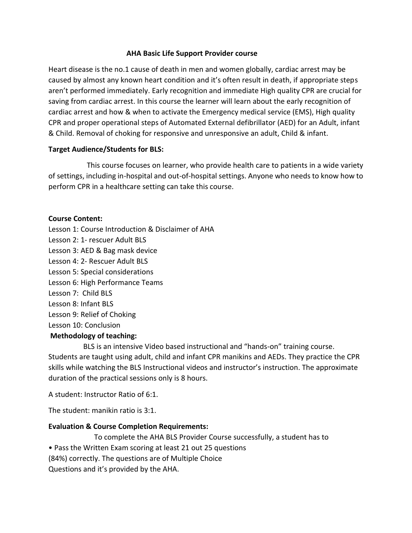#### **AHA Basic Life Support Provider course**

Heart disease is the no.1 cause of death in men and women globally, cardiac arrest may be caused by almost any known heart condition and it's often result in death, if appropriate steps aren't performed immediately. Early recognition and immediate High quality CPR are crucial for saving from cardiac arrest. In this course the learner will learn about the early recognition of cardiac arrest and how & when to activate the Emergency medical service (EMS), High quality CPR and proper operational steps of Automated External defibrillator (AED) for an Adult, infant & Child. Removal of choking for responsive and unresponsive an adult, Child & infant.

#### **Target Audience/Students for BLS:**

 This course focuses on learner, who provide health care to patients in a wide variety of settings, including in-hospital and out-of-hospital settings. Anyone who needs to know how to perform CPR in a healthcare setting can take this course.

### **Course Content:**

Lesson 1: Course Introduction & Disclaimer of AHA Lesson 2: 1- rescuer Adult BLS Lesson 3: AED & Bag mask device Lesson 4: 2- Rescuer Adult BLS Lesson 5: Special considerations Lesson 6: High Performance Teams Lesson 7: Child BLS Lesson 8: Infant BLS Lesson 9: Relief of Choking Lesson 10: Conclusion

### **Methodology of teaching:**

 BLS is an intensive Video based instructional and "hands-on" training course. Students are taught using adult, child and infant CPR manikins and AEDs. They practice the CPR skills while watching the BLS Instructional videos and instructor's instruction. The approximate duration of the practical sessions only is 8 hours.

A student: Instructor Ratio of 6:1.

The student: manikin ratio is 3:1.

### **Evaluation & Course Completion Requirements:**

 To complete the AHA BLS Provider Course successfully, a student has to • Pass the Written Exam scoring at least 21 out 25 questions (84%) correctly. The questions are of Multiple Choice Questions and it's provided by the AHA.